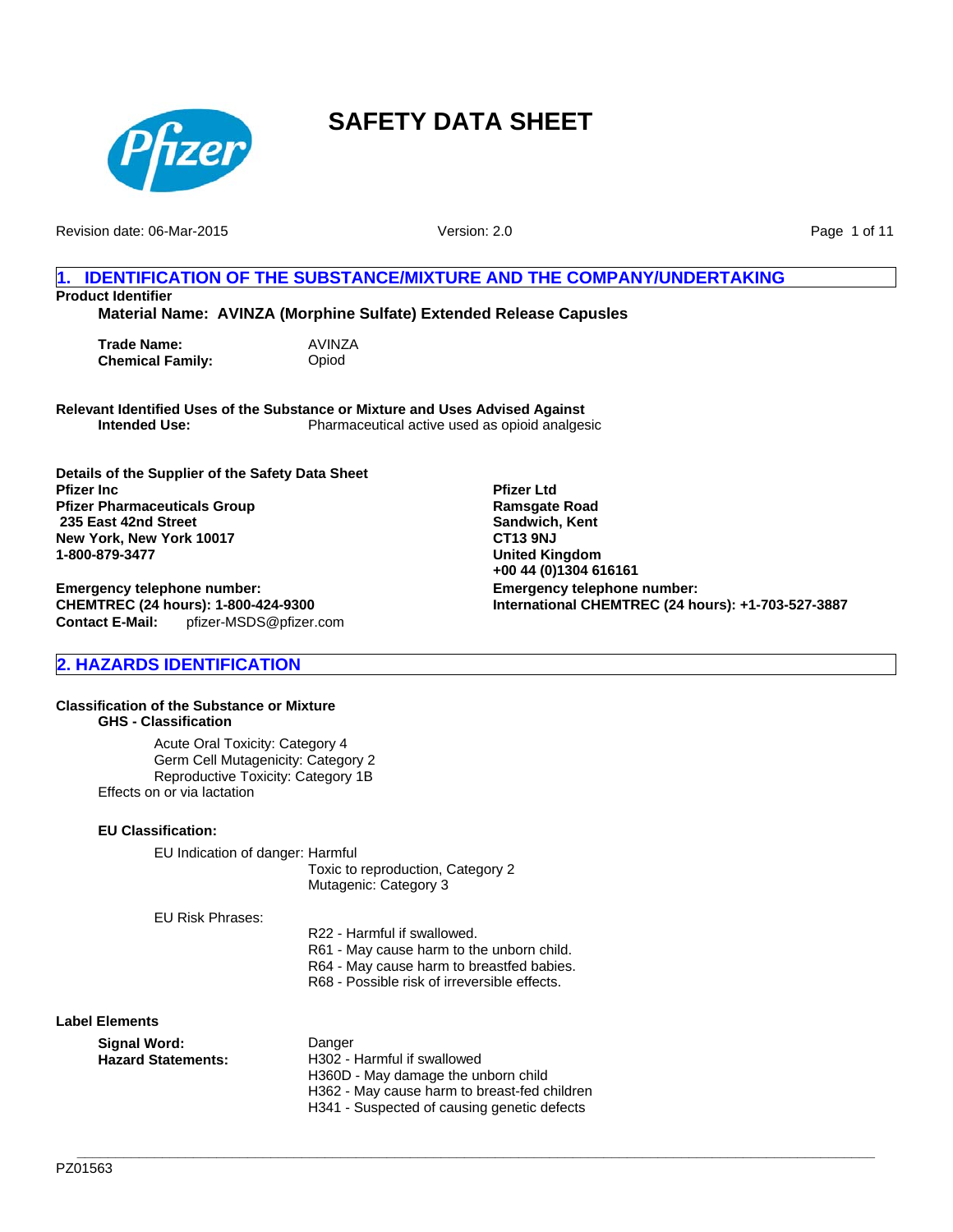

Revision date: 06-Mar-2015

Version: 2.0

Page 1 of 11

### **1. IDENTIFICATION OF THE SUBSTANCE/MIXTURE AND THE COMPANY/UNDERTAKING Product Identifier**

**Material Name: AVINZA (Morphine Sulfate) Extended Release Capusles**

**Trade Name:** AVINZA **Chemical Family:** Opiod

**Relevant Identified Uses of the Substance or Mixture and Uses Advised Against Intended Use:** Pharmaceutical active used as opioid analgesic

**Details of the Supplier of the Safety Data Sheet Pfizer Inc Pfizer Pharmaceuticals Group 235 East 42nd Street New York, New York 10017 1-800-879-3477**

**Contact E-Mail:** pfizer-MSDS@pfizer.com **Emergency telephone number: CHEMTREC (24 hours): 1-800-424-9300**

## **2. HAZARDS IDENTIFICATION**

#### **Classification of the Substance or Mixture GHS - Classification**

Acute Oral Toxicity: Category 4 Germ Cell Mutagenicity: Category 2 Reproductive Toxicity: Category 1B Effects on or via lactation

### **EU Classification:**

EU Indication of danger: Harmful

Toxic to reproduction, Category 2 Mutagenic: Category 3

EU Risk Phrases:

R22 - Harmful if swallowed. R61 - May cause harm to the unborn child. R64 - May cause harm to breastfed babies. R68 - Possible risk of irreversible effects.

**\_\_\_\_\_\_\_\_\_\_\_\_\_\_\_\_\_\_\_\_\_\_\_\_\_\_\_\_\_\_\_\_\_\_\_\_\_\_\_\_\_\_\_\_\_\_\_\_\_\_\_\_\_\_\_\_\_\_\_\_\_\_\_\_\_\_\_\_\_\_\_\_\_\_\_\_\_\_\_\_\_\_\_\_\_\_\_\_\_\_\_\_\_\_\_\_\_\_\_\_\_\_\_**

### **Label Elements**

**Signal Word:** Danger Hazard Statements: H302 - Harmful if swallowed H360D - May damage the unborn child H362 - May cause harm to breast-fed children H341 - Suspected of causing genetic defects

**Emergency telephone number: International CHEMTREC (24 hours): +1-703-527-3887 Pfizer Ltd Ramsgate Road Sandwich, Kent CT13 9NJ United Kingdom +00 44 (0)1304 616161**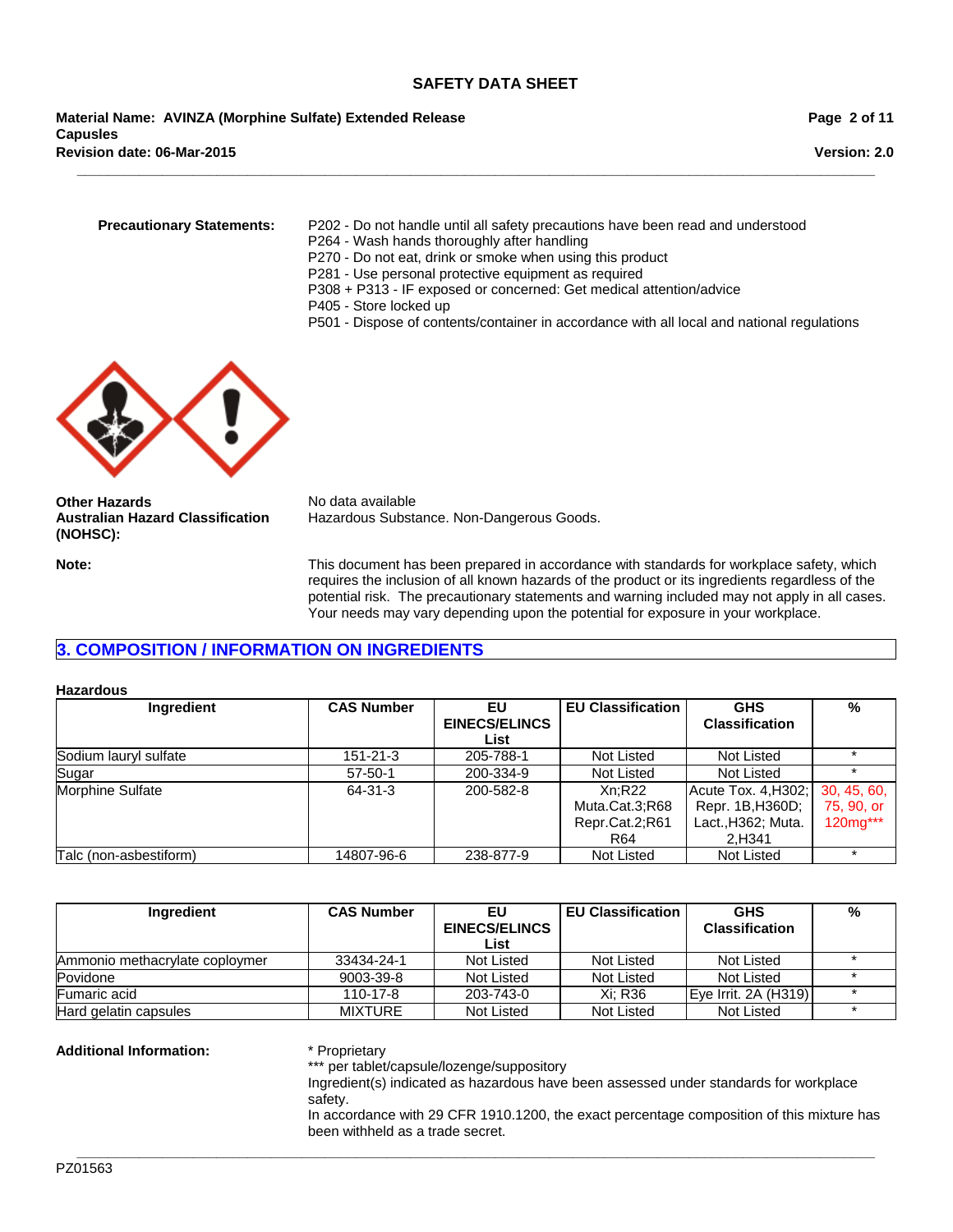**Material Name: AVINZA (Morphine Sulfate) Extended Release Capusles Revision date: 06-Mar-2015**

**Version: 2.0**

- **Precautionary Statements:** P202 Do not handle until all safety precautions have been read and understood
	- P264 Wash hands thoroughly after handling
	- P270 Do not eat, drink or smoke when using this product
	- P281 Use personal protective equipment as required

**\_\_\_\_\_\_\_\_\_\_\_\_\_\_\_\_\_\_\_\_\_\_\_\_\_\_\_\_\_\_\_\_\_\_\_\_\_\_\_\_\_\_\_\_\_\_\_\_\_\_\_\_\_\_\_\_\_\_\_\_\_\_\_\_\_\_\_\_\_\_\_\_\_\_\_\_\_\_\_\_\_\_\_\_\_\_\_\_\_\_\_\_\_\_\_\_\_\_\_\_\_\_\_**

- P308 + P313 IF exposed or concerned: Get medical attention/advice
- P405 Store locked up
- P501 Dispose of contents/container in accordance with all local and national regulations



**Other Hazards** No data available **Australian Hazard Classification (NOHSC):**

Hazardous Substance. Non-Dangerous Goods.

**Note:** This document has been prepared in accordance with standards for workplace safety, which requires the inclusion of all known hazards of the product or its ingredients regardless of the potential risk. The precautionary statements and warning included may not apply in all cases. Your needs may vary depending upon the potential for exposure in your workplace.

## **3. COMPOSITION / INFORMATION ON INGREDIENTS**

#### **Hazardous**

| Ingredient             | <b>CAS Number</b> | EU                   | <b>EU Classification</b> | <b>GHS</b>            | %           |
|------------------------|-------------------|----------------------|--------------------------|-----------------------|-------------|
|                        |                   | <b>EINECS/ELINCS</b> |                          | <b>Classification</b> |             |
|                        |                   | List                 |                          |                       |             |
| Sodium lauryl sulfate  | $151 - 21 - 3$    | 205-788-1            | Not Listed               | Not Listed            |             |
| Sugar                  | $57 - 50 - 1$     | 200-334-9            | Not Listed               | Not Listed            |             |
| Morphine Sulfate       | 64-31-3           | 200-582-8            | Xn:R22                   | Acute Tox. 4, H302;   | 30, 45, 60, |
|                        |                   |                      | Muta.Cat.3;R68           | Repr. 1B, H360D;      | 75, 90, or  |
|                        |                   |                      | Repr.Cat.2;R61           | Lact., H362; Muta.    | 120mg***    |
|                        |                   |                      | R64                      | 2.H341                |             |
| Talc (non-asbestiform) | 14807-96-6        | 238-877-9            | Not Listed               | <b>Not Listed</b>     |             |

| Ingredient                     | <b>CAS Number</b> | EU                   | <b>EU Classification</b> | <b>GHS</b>            | % |
|--------------------------------|-------------------|----------------------|--------------------------|-----------------------|---|
|                                |                   | <b>EINECS/ELINCS</b> |                          | <b>Classification</b> |   |
|                                |                   | List                 |                          |                       |   |
| Ammonio methacrylate coploymer | 33434-24-1        | Not Listed           | Not Listed               | Not Listed            |   |
| Povidone                       | 9003-39-8         | Not Listed           | Not Listed               | Not Listed            |   |
| <b>Fumaric acid</b>            | 110-17-8          | 203-743-0            | Xi: R36                  | Eye Irrit. 2A (H319)  |   |
| Hard gelatin capsules          | <b>MIXTURE</b>    | Not Listed           | Not Listed               | Not Listed            |   |

**Additional Information:** \* Proprietary

\*\*\* per tablet/capsule/lozenge/suppository

Ingredient(s) indicated as hazardous have been assessed under standards for workplace safety.

In accordance with 29 CFR 1910.1200, the exact percentage composition of this mixture has been withheld as a trade secret.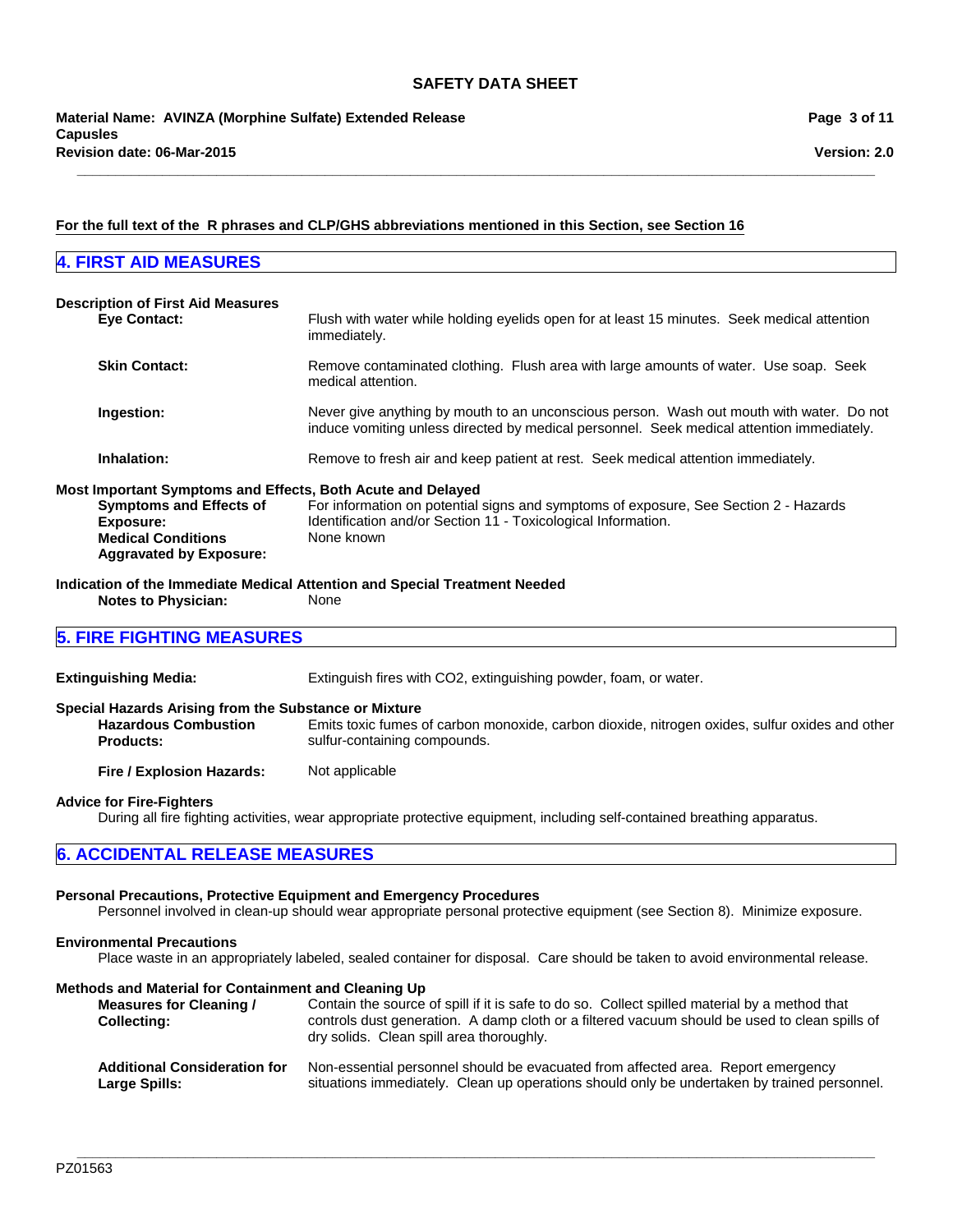### **For the full text of the R phrases and CLP/GHS abbreviations mentioned in this Section, see Section 16**

## **4. FIRST AID MEASURES**

**\_\_\_\_\_\_\_\_\_\_\_\_\_\_\_\_\_\_\_\_\_\_\_\_\_\_\_\_\_\_\_\_\_\_\_\_\_\_\_\_\_\_\_\_\_\_\_\_\_\_\_\_\_\_\_\_\_\_\_\_\_\_\_\_\_\_\_\_\_\_\_\_\_\_\_\_\_\_\_\_\_\_\_\_\_\_\_\_\_\_\_\_\_\_\_\_\_\_\_\_\_\_\_**

| <b>Description of First Aid Measures</b><br><b>Eye Contact:</b>                                                                         | Flush with water while holding eyelids open for at least 15 minutes. Seek medical attention<br>immediately.                                                                           |
|-----------------------------------------------------------------------------------------------------------------------------------------|---------------------------------------------------------------------------------------------------------------------------------------------------------------------------------------|
| <b>Skin Contact:</b>                                                                                                                    | Remove contaminated clothing. Flush area with large amounts of water. Use soap. Seek<br>medical attention.                                                                            |
| Ingestion:                                                                                                                              | Never give anything by mouth to an unconscious person. Wash out mouth with water. Do not<br>induce vomiting unless directed by medical personnel. Seek medical attention immediately. |
| Inhalation:                                                                                                                             | Remove to fresh air and keep patient at rest. Seek medical attention immediately.                                                                                                     |
| Most Important Symptoms and Effects, Both Acute and Delayed<br><b>Symptoms and Effects of</b><br>Exposure:<br><b>Medical Conditions</b> | For information on potential signs and symptoms of exposure, See Section 2 - Hazards<br>Identification and/or Section 11 - Toxicological Information.<br>None known                   |
| <b>Aggravated by Exposure:</b>                                                                                                          |                                                                                                                                                                                       |

**Indication of the Immediate Medical Attention and Special Treatment Needed Notes to Physician:** None

## **5. FIRE FIGHTING MEASURES**

| <b>Extinguishing Media:</b>                                                                              | Extinguish fires with CO2, extinguishing powder, foam, or water.                                                               |
|----------------------------------------------------------------------------------------------------------|--------------------------------------------------------------------------------------------------------------------------------|
| Special Hazards Arising from the Substance or Mixture<br><b>Hazardous Combustion</b><br><b>Products:</b> | Emits toxic fumes of carbon monoxide, carbon dioxide, nitrogen oxides, sulfur oxides and other<br>sulfur-containing compounds. |
| Fire / Explosion Hazards:                                                                                | Not applicable                                                                                                                 |
|                                                                                                          |                                                                                                                                |

**Advice for Fire-Fighters**

During all fire fighting activities, wear appropriate protective equipment, including self-contained breathing apparatus.

## **6. ACCIDENTAL RELEASE MEASURES**

### **Personal Precautions, Protective Equipment and Emergency Procedures**

Personnel involved in clean-up should wear appropriate personal protective equipment (see Section 8). Minimize exposure.

#### **Environmental Precautions**

Place waste in an appropriately labeled, sealed container for disposal. Care should be taken to avoid environmental release.

#### **Methods and Material for Containment and Cleaning Up**

| <b>Measures for Cleaning /</b><br><b>Collecting:</b> | Contain the source of spill if it is safe to do so. Collect spilled material by a method that<br>controls dust generation. A damp cloth or a filtered vacuum should be used to clean spills of<br>dry solids. Clean spill area thoroughly. |
|------------------------------------------------------|--------------------------------------------------------------------------------------------------------------------------------------------------------------------------------------------------------------------------------------------|
| <b>Additional Consideration for</b>                  | Non-essential personnel should be evacuated from affected area. Report emergency                                                                                                                                                           |
| Large Spills:                                        | situations immediately. Clean up operations should only be undertaken by trained personnel.                                                                                                                                                |

**\_\_\_\_\_\_\_\_\_\_\_\_\_\_\_\_\_\_\_\_\_\_\_\_\_\_\_\_\_\_\_\_\_\_\_\_\_\_\_\_\_\_\_\_\_\_\_\_\_\_\_\_\_\_\_\_\_\_\_\_\_\_\_\_\_\_\_\_\_\_\_\_\_\_\_\_\_\_\_\_\_\_\_\_\_\_\_\_\_\_\_\_\_\_\_\_\_\_\_\_\_\_\_**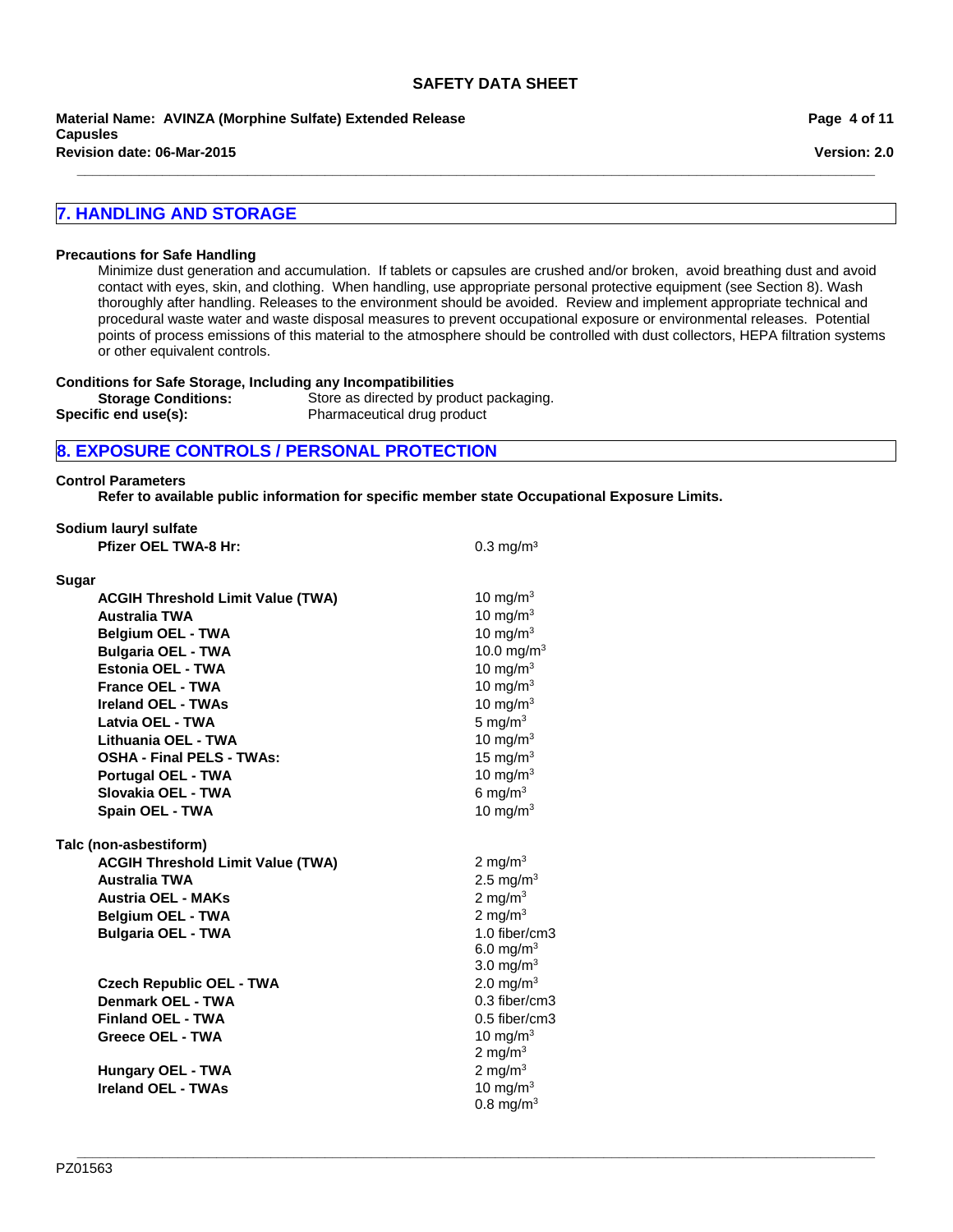**\_\_\_\_\_\_\_\_\_\_\_\_\_\_\_\_\_\_\_\_\_\_\_\_\_\_\_\_\_\_\_\_\_\_\_\_\_\_\_\_\_\_\_\_\_\_\_\_\_\_\_\_\_\_\_\_\_\_\_\_\_\_\_\_\_\_\_\_\_\_\_\_\_\_\_\_\_\_\_\_\_\_\_\_\_\_\_\_\_\_\_\_\_\_\_\_\_\_\_\_\_\_\_**

**Material Name: AVINZA (Morphine Sulfate) Extended Release Capusles**

**Revision date: 06-Mar-2015**

## **7. HANDLING AND STORAGE**

#### **Precautions for Safe Handling**

Minimize dust generation and accumulation. If tablets or capsules are crushed and/or broken, avoid breathing dust and avoid contact with eyes, skin, and clothing. When handling, use appropriate personal protective equipment (see Section 8). Wash thoroughly after handling. Releases to the environment should be avoided. Review and implement appropriate technical and procedural waste water and waste disposal measures to prevent occupational exposure or environmental releases. Potential points of process emissions of this material to the atmosphere should be controlled with dust collectors, HEPA filtration systems or other equivalent controls.

 $0.3$  mg/m $3$ 

#### **Conditions for Safe Storage, Including any Incompatibilities**

| <b>Storage Conditions:</b> | Store as directed by product packaging. |
|----------------------------|-----------------------------------------|
| Specific end use(s):       | Pharmaceutical drug product             |

### **8. EXPOSURE CONTROLS / PERSONAL PROTECTION**

#### **Control Parameters**

**Sugar**

**Refer to available public information for specific member state Occupational Exposure Limits.**

| Sodium lauryl sulfate       |  |
|-----------------------------|--|
| <b>Pfizer OEL TWA-8 Hr:</b> |  |

| Sugar                                    |                        |
|------------------------------------------|------------------------|
| <b>ACGIH Threshold Limit Value (TWA)</b> | 10 mg/m $3$            |
| <b>Australia TWA</b>                     | 10 mg/m $3$            |
| <b>Belgium OEL - TWA</b>                 | 10 mg/m $3$            |
| <b>Bulgaria OEL - TWA</b>                | 10.0 mg/m <sup>3</sup> |
| Estonia OEL - TWA                        | 10 mg/m $3$            |
| <b>France OEL - TWA</b>                  | 10 mg/m $3$            |
| <b>Ireland OEL - TWAs</b>                | 10 mg/m $3$            |
| Latvia OEL - TWA                         | 5 mg/ $m3$             |
| Lithuania OEL - TWA                      | 10 mg/m $3$            |
| <b>OSHA - Final PELS - TWAs:</b>         | 15 mg/m $3$            |
| <b>Portugal OEL - TWA</b>                | 10 mg/m $3$            |
| Slovakia OEL - TWA                       | 6 mg/m $3$             |
| <b>Spain OEL - TWA</b>                   | 10 mg/m $3$            |
| Talc (non-asbestiform)                   |                        |
| <b>ACGIH Threshold Limit Value (TWA)</b> | 2 mg/m $3$             |
| <b>Australia TWA</b>                     | 2.5 mg/m <sup>3</sup>  |
| <b>Austria OEL - MAKs</b>                | 2 mg/m $3$             |
| <b>Belgium OEL - TWA</b>                 | 2 mg/m $3$             |
| <b>Bulgaria OEL - TWA</b>                | 1.0 fiber/cm3          |
|                                          | 6.0 mg/m <sup>3</sup>  |
|                                          | 3.0 mg/ $m3$           |
| <b>Czech Republic OEL - TWA</b>          | 2.0 mg/m <sup>3</sup>  |
| Denmark OEL - TWA                        | $0.3$ fiber/cm $3$     |
| <b>Finland OEL - TWA</b>                 | $0.5$ fiber/cm3        |
| <b>Greece OEL - TWA</b>                  | 10 mg/m $3$            |
|                                          | 2 mg/m $3$             |
| <b>Hungary OEL - TWA</b>                 | 2 mg/m $3$             |
| <b>Ireland OEL - TWAs</b>                | 10 mg/m $3$            |
|                                          | $0.8 \text{ mg/m}^3$   |

**Page 4 of 11**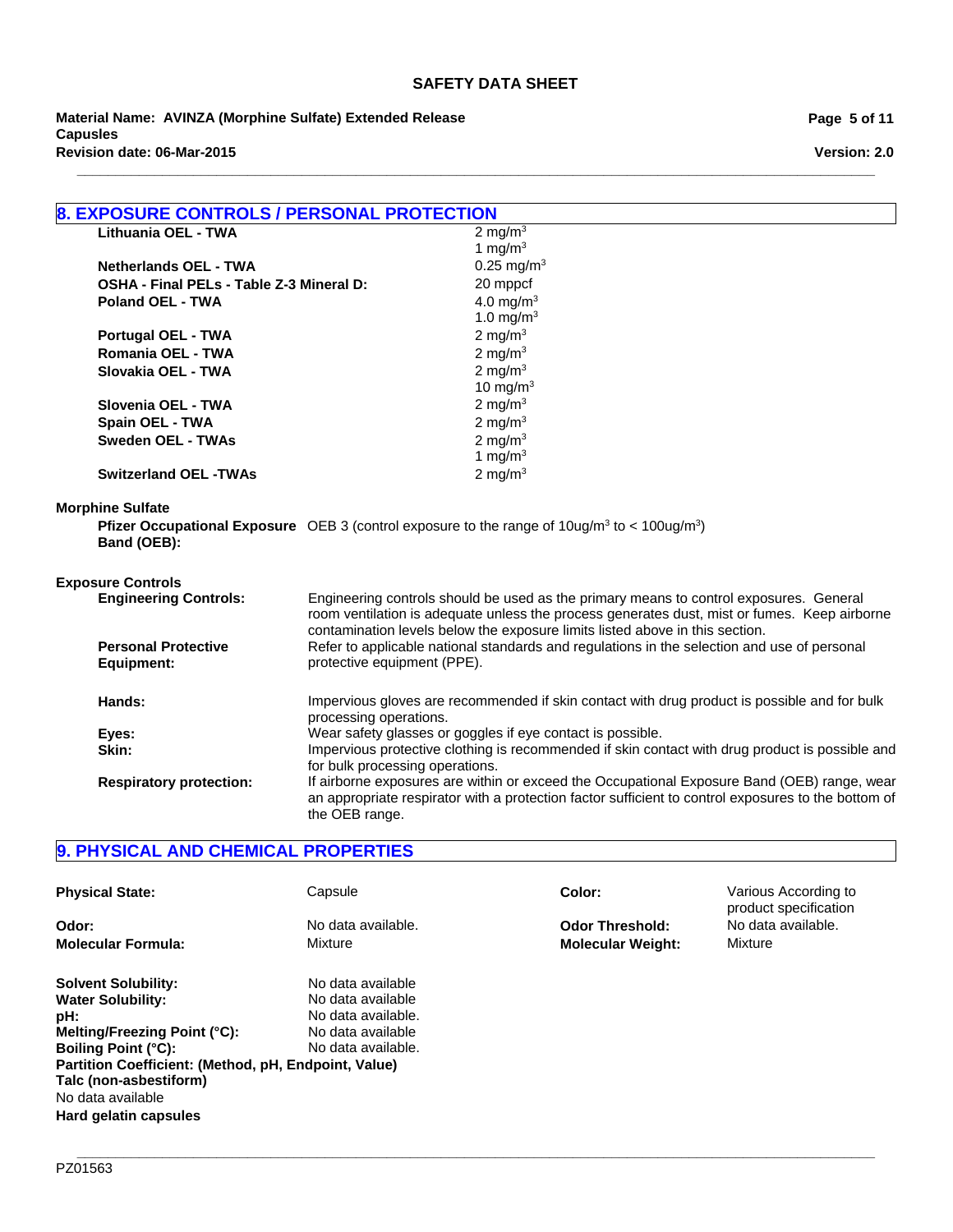**\_\_\_\_\_\_\_\_\_\_\_\_\_\_\_\_\_\_\_\_\_\_\_\_\_\_\_\_\_\_\_\_\_\_\_\_\_\_\_\_\_\_\_\_\_\_\_\_\_\_\_\_\_\_\_\_\_\_\_\_\_\_\_\_\_\_\_\_\_\_\_\_\_\_\_\_\_\_\_\_\_\_\_\_\_\_\_\_\_\_\_\_\_\_\_\_\_\_\_\_\_\_\_**

**Revision date: 06-Mar-2015 Material Name: AVINZA (Morphine Sulfate) Extended Release Capusles**

**Page 5 of 11**

**Version: 2.0**

| <b>8. EXPOSURE CONTROLS / PERSONAL PROTECTION</b> |                                                                                                                                                                                                                                                                        |                                                                                                                             |
|---------------------------------------------------|------------------------------------------------------------------------------------------------------------------------------------------------------------------------------------------------------------------------------------------------------------------------|-----------------------------------------------------------------------------------------------------------------------------|
| Lithuania OEL - TWA                               |                                                                                                                                                                                                                                                                        | 2 mg/m $3$                                                                                                                  |
|                                                   |                                                                                                                                                                                                                                                                        | 1 mg/ $m3$                                                                                                                  |
| <b>Netherlands OEL - TWA</b>                      |                                                                                                                                                                                                                                                                        | 0.25 mg/m <sup>3</sup>                                                                                                      |
| OSHA - Final PELs - Table Z-3 Mineral D:          |                                                                                                                                                                                                                                                                        | 20 mppcf                                                                                                                    |
| <b>Poland OEL - TWA</b>                           |                                                                                                                                                                                                                                                                        | 4.0 mg/ $m3$                                                                                                                |
|                                                   |                                                                                                                                                                                                                                                                        | 1.0 mg/m <sup>3</sup>                                                                                                       |
| <b>Portugal OEL - TWA</b>                         |                                                                                                                                                                                                                                                                        | 2 mg/m $3$                                                                                                                  |
| Romania OEL - TWA                                 |                                                                                                                                                                                                                                                                        | 2 mg/m $3$                                                                                                                  |
| Slovakia OEL - TWA                                |                                                                                                                                                                                                                                                                        | 2 mg/m $3$                                                                                                                  |
|                                                   |                                                                                                                                                                                                                                                                        | 10 mg/m $3$                                                                                                                 |
| Slovenia OEL - TWA                                |                                                                                                                                                                                                                                                                        | 2 mg/m $3$                                                                                                                  |
| Spain OEL - TWA                                   |                                                                                                                                                                                                                                                                        | 2 mg/m $3$                                                                                                                  |
| <b>Sweden OEL - TWAs</b>                          |                                                                                                                                                                                                                                                                        | 2 mg/m $3$                                                                                                                  |
|                                                   |                                                                                                                                                                                                                                                                        | 1 mg/m $3$                                                                                                                  |
| <b>Switzerland OEL -TWAs</b>                      |                                                                                                                                                                                                                                                                        | 2 mg/m $3$                                                                                                                  |
| <b>Morphine Sulfate</b>                           |                                                                                                                                                                                                                                                                        |                                                                                                                             |
| Band (OEB):                                       |                                                                                                                                                                                                                                                                        | <b>Pfizer Occupational Exposure</b> OEB 3 (control exposure to the range of $10\mu\text{g/m}^3$ to < $100\mu\text{g/m}^3$ ) |
| <b>Exposure Controls</b>                          |                                                                                                                                                                                                                                                                        |                                                                                                                             |
| <b>Engineering Controls:</b>                      | Engineering controls should be used as the primary means to control exposures. General<br>room ventilation is adequate unless the process generates dust, mist or fumes. Keep airborne<br>contamination levels below the exposure limits listed above in this section. |                                                                                                                             |
| <b>Personal Protective</b>                        | Refer to applicable national standards and regulations in the selection and use of personal                                                                                                                                                                            |                                                                                                                             |
| Equipment:                                        | protective equipment (PPE).                                                                                                                                                                                                                                            |                                                                                                                             |
| Hands:                                            | Impervious gloves are recommended if skin contact with drug product is possible and for bulk<br>processing operations.                                                                                                                                                 |                                                                                                                             |
| Eyes:                                             | Wear safety glasses or goggles if eye contact is possible.                                                                                                                                                                                                             |                                                                                                                             |
| Skin:                                             | Impervious protective clothing is recommended if skin contact with drug product is possible and<br>for bulk processing operations.                                                                                                                                     |                                                                                                                             |
| <b>Respiratory protection:</b>                    | If airborne exposures are within or exceed the Occupational Exposure Band (OEB) range, wear<br>an appropriate respirator with a protection factor sufficient to control exposures to the bottom of<br>the OEB range.                                                   |                                                                                                                             |

## **9. PHYSICAL AND CHEMICAL PROPERTIES**

| <b>Physical State:</b>                               | Capsule            | Color:                   | Various According to<br>product specification |
|------------------------------------------------------|--------------------|--------------------------|-----------------------------------------------|
| Odor:                                                | No data available. | <b>Odor Threshold:</b>   | No data available.                            |
| <b>Molecular Formula:</b>                            | Mixture            | <b>Molecular Weight:</b> | Mixture                                       |
| <b>Solvent Solubility:</b>                           | No data available  |                          |                                               |
| <b>Water Solubility:</b>                             | No data available  |                          |                                               |
| pH:                                                  | No data available. |                          |                                               |
| Melting/Freezing Point (°C):                         | No data available  |                          |                                               |
| <b>Boiling Point (°C):</b>                           | No data available. |                          |                                               |
| Partition Coefficient: (Method, pH, Endpoint, Value) |                    |                          |                                               |
| Talc (non-asbestiform)                               |                    |                          |                                               |
| No data available                                    |                    |                          |                                               |
| Hard gelatin capsules                                |                    |                          |                                               |

**\_\_\_\_\_\_\_\_\_\_\_\_\_\_\_\_\_\_\_\_\_\_\_\_\_\_\_\_\_\_\_\_\_\_\_\_\_\_\_\_\_\_\_\_\_\_\_\_\_\_\_\_\_\_\_\_\_\_\_\_\_\_\_\_\_\_\_\_\_\_\_\_\_\_\_\_\_\_\_\_\_\_\_\_\_\_\_\_\_\_\_\_\_\_\_\_\_\_\_\_\_\_\_**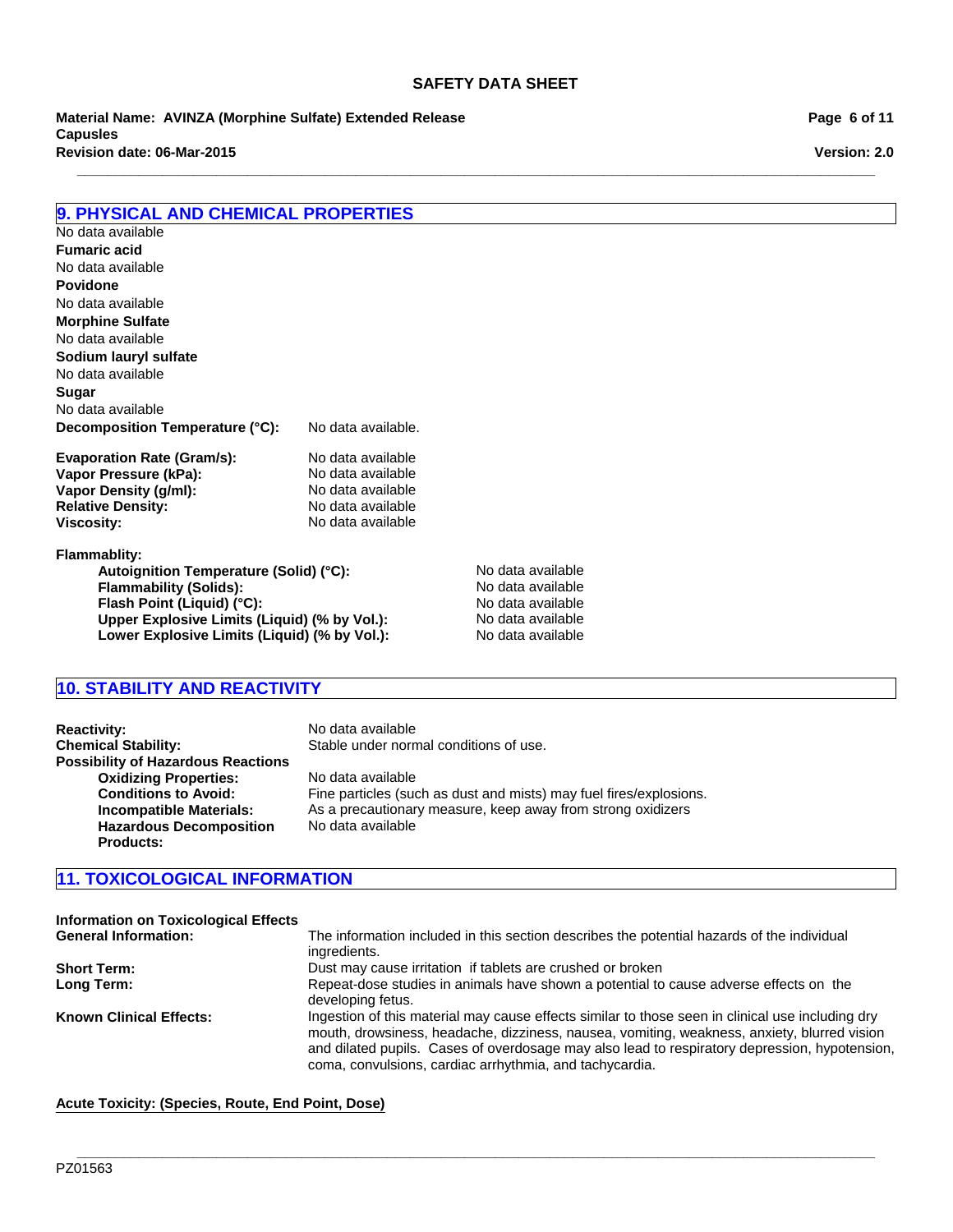**\_\_\_\_\_\_\_\_\_\_\_\_\_\_\_\_\_\_\_\_\_\_\_\_\_\_\_\_\_\_\_\_\_\_\_\_\_\_\_\_\_\_\_\_\_\_\_\_\_\_\_\_\_\_\_\_\_\_\_\_\_\_\_\_\_\_\_\_\_\_\_\_\_\_\_\_\_\_\_\_\_\_\_\_\_\_\_\_\_\_\_\_\_\_\_\_\_\_\_\_\_\_\_**

**Revision date: 06-Mar-2015 Material Name: AVINZA (Morphine Sulfate) Extended Release Capusles**

**9. PHYSICAL AND CHEMICAL PROPERTIES**

| No data available                            |                    |                   |
|----------------------------------------------|--------------------|-------------------|
| <b>Fumaric acid</b>                          |                    |                   |
| No data available                            |                    |                   |
| <b>Povidone</b>                              |                    |                   |
| No data available                            |                    |                   |
| <b>Morphine Sulfate</b>                      |                    |                   |
| No data available                            |                    |                   |
| Sodium lauryl sulfate                        |                    |                   |
| No data available                            |                    |                   |
| Sugar                                        |                    |                   |
| No data available                            |                    |                   |
| Decomposition Temperature (°C):              | No data available. |                   |
| <b>Evaporation Rate (Gram/s):</b>            | No data available  |                   |
| Vapor Pressure (kPa):                        | No data available  |                   |
| Vapor Density (g/ml):                        | No data available  |                   |
| <b>Relative Density:</b>                     | No data available  |                   |
| Viscosity:                                   | No data available  |                   |
| <b>Flammablity:</b>                          |                    |                   |
| Autoignition Temperature (Solid) (°C):       |                    | No data available |
| <b>Flammability (Solids):</b>                | No data available  |                   |
| Flash Point (Liquid) (°C):                   | No data available  |                   |
| Upper Explosive Limits (Liquid) (% by Vol.): | No data available  |                   |
| Lower Explosive Limits (Liquid) (% by Vol.): | No data available  |                   |

## **10. STABILITY AND REACTIVITY**

Lower Explosive Limits (Liquid) (% by Vol.):

| <b>Reactivity:</b>                        | No data available                                                  |
|-------------------------------------------|--------------------------------------------------------------------|
| <b>Chemical Stability:</b>                | Stable under normal conditions of use.                             |
| <b>Possibility of Hazardous Reactions</b> |                                                                    |
| <b>Oxidizing Properties:</b>              | No data available                                                  |
| <b>Conditions to Avoid:</b>               | Fine particles (such as dust and mists) may fuel fires/explosions. |
| Incompatible Materials:                   | As a precautionary measure, keep away from strong oxidizers        |
| <b>Hazardous Decomposition</b>            | No data available                                                  |
| <b>Products:</b>                          |                                                                    |

## **11. TOXICOLOGICAL INFORMATION**

| <b>Information on Toxicological Effects</b><br><b>General Information:</b> | The information included in this section describes the potential hazards of the individual<br>ingredients.                                                                                                                                                                                                                                                  |
|----------------------------------------------------------------------------|-------------------------------------------------------------------------------------------------------------------------------------------------------------------------------------------------------------------------------------------------------------------------------------------------------------------------------------------------------------|
| <b>Short Term:</b>                                                         | Dust may cause irritation if tablets are crushed or broken                                                                                                                                                                                                                                                                                                  |
| Long Term:                                                                 | Repeat-dose studies in animals have shown a potential to cause adverse effects on the<br>developing fetus.                                                                                                                                                                                                                                                  |
| <b>Known Clinical Effects:</b>                                             | Ingestion of this material may cause effects similar to those seen in clinical use including dry<br>mouth, drowsiness, headache, dizziness, nausea, vomiting, weakness, anxiety, blurred vision<br>and dilated pupils. Cases of overdosage may also lead to respiratory depression, hypotension,<br>coma, convulsions, cardiac arrhythmia, and tachycardia. |

**\_\_\_\_\_\_\_\_\_\_\_\_\_\_\_\_\_\_\_\_\_\_\_\_\_\_\_\_\_\_\_\_\_\_\_\_\_\_\_\_\_\_\_\_\_\_\_\_\_\_\_\_\_\_\_\_\_\_\_\_\_\_\_\_\_\_\_\_\_\_\_\_\_\_\_\_\_\_\_\_\_\_\_\_\_\_\_\_\_\_\_\_\_\_\_\_\_\_\_\_\_\_\_**

**Acute Toxicity: (Species, Route, End Point, Dose)**

**Version: 2.0 Page 6 of 11**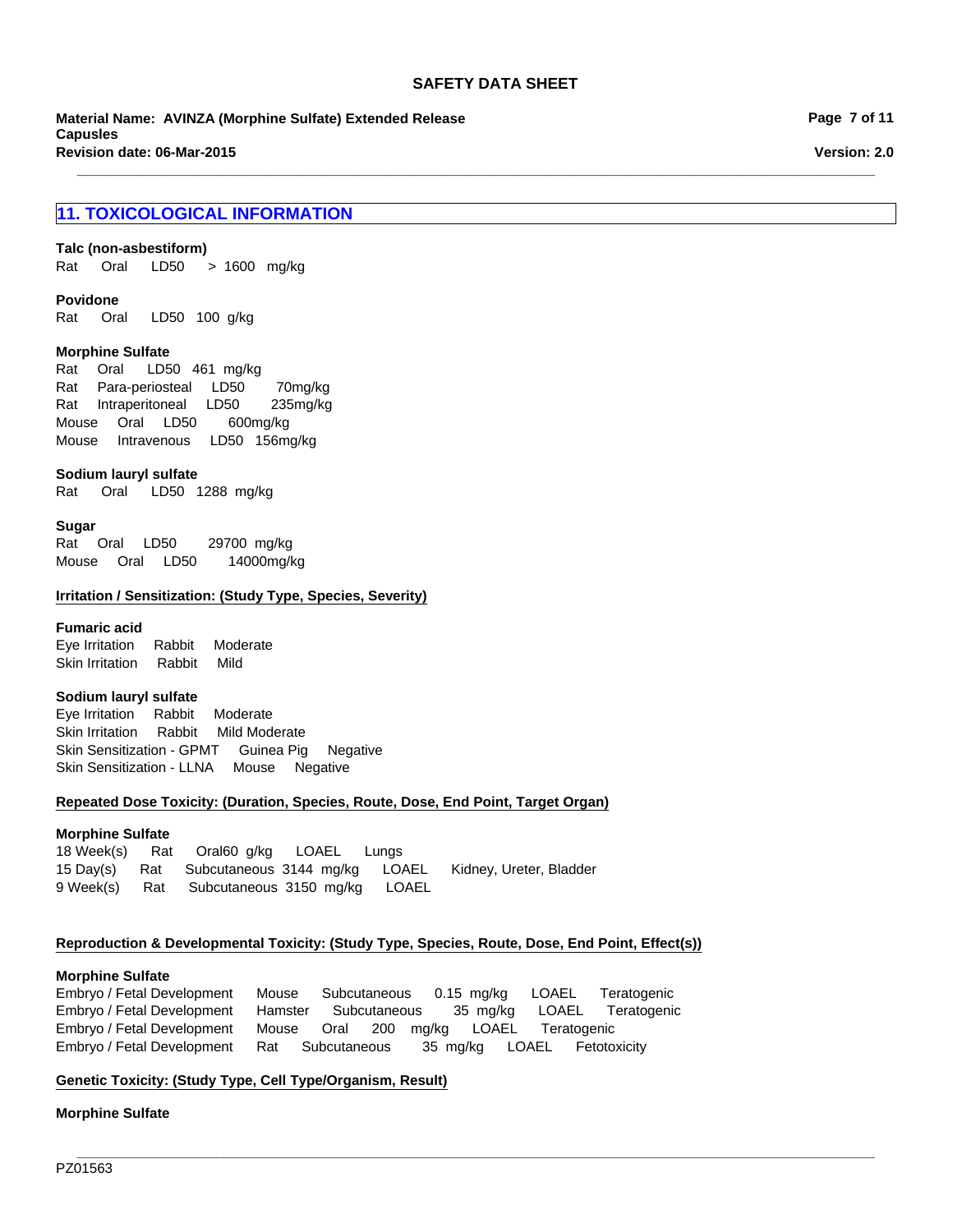**\_\_\_\_\_\_\_\_\_\_\_\_\_\_\_\_\_\_\_\_\_\_\_\_\_\_\_\_\_\_\_\_\_\_\_\_\_\_\_\_\_\_\_\_\_\_\_\_\_\_\_\_\_\_\_\_\_\_\_\_\_\_\_\_\_\_\_\_\_\_\_\_\_\_\_\_\_\_\_\_\_\_\_\_\_\_\_\_\_\_\_\_\_\_\_\_\_\_\_\_\_\_\_**

**Revision date: 06-Mar-2015 Material Name: AVINZA (Morphine Sulfate) Extended Release Capusles**

## **11. TOXICOLOGICAL INFORMATION**

## **Talc (non-asbestiform)**

Rat Oral LD50 >1600 mg/kg

### **Povidone**

Rat Oral LD50 100 g/kg

#### **Morphine Sulfate**

MouseOralLD50 600mg/kg MouseIntravenousLD50 156mg/kg RatOral LD50 461mg/kg RatPara-periostealLD50 70mg/kg RatIntraperitonealLD50 235mg/kg

#### **Sodium lauryl sulfate**

Rat Oral LD50 1288mg/kg

#### **Sugar**

RatOralLD50 29700mg/kg MouseOralLD50 14000mg/kg

#### **Irritation / Sensitization: (Study Type, Species, Severity)**

#### **Fumaric acid**

Eye IrritationRabbitModerate Skin IrritationRabbitMild

### **Sodium lauryl sulfate**

Eye IrritationRabbitModerate Skin IrritationRabbitMild Moderate Skin Sensitization - GPMTGuinea PigNegative Skin Sensitization - LLNAMouseNegative

#### **Repeated Dose Toxicity: (Duration, Species, Route, Dose, End Point, Target Organ)**

#### **Morphine Sulfate**

18 Week(s)RatOral60g/kgLOAELLungs 15 Day(s)RatSubcutaneous3144mg/kgLOAELKidney, Ureter, Bladder 9 Week(s)RatSubcutaneous3150mg/kgLOAEL

### **Reproduction & Developmental Toxicity: (Study Type, Species, Route, Dose, End Point, Effect(s))**

#### **Morphine Sulfate**

Embryo / Fetal DevelopmentMouseSubcutaneous0.15mg/kgLOAELTeratogenic Embryo / Fetal DevelopmentHamsterSubcutaneous35mg/kgLOAELTeratogenic Embryo / Fetal DevelopmentMouseOral200mg/kgLOAELTeratogenic Embryo / Fetal DevelopmentRatSubcutaneous35mg/kgLOAELFetotoxicity

**\_\_\_\_\_\_\_\_\_\_\_\_\_\_\_\_\_\_\_\_\_\_\_\_\_\_\_\_\_\_\_\_\_\_\_\_\_\_\_\_\_\_\_\_\_\_\_\_\_\_\_\_\_\_\_\_\_\_\_\_\_\_\_\_\_\_\_\_\_\_\_\_\_\_\_\_\_\_\_\_\_\_\_\_\_\_\_\_\_\_\_\_\_\_\_\_\_\_\_\_\_\_\_**

### **Genetic Toxicity: (Study Type, Cell Type/Organism, Result)**

**Morphine Sulfate**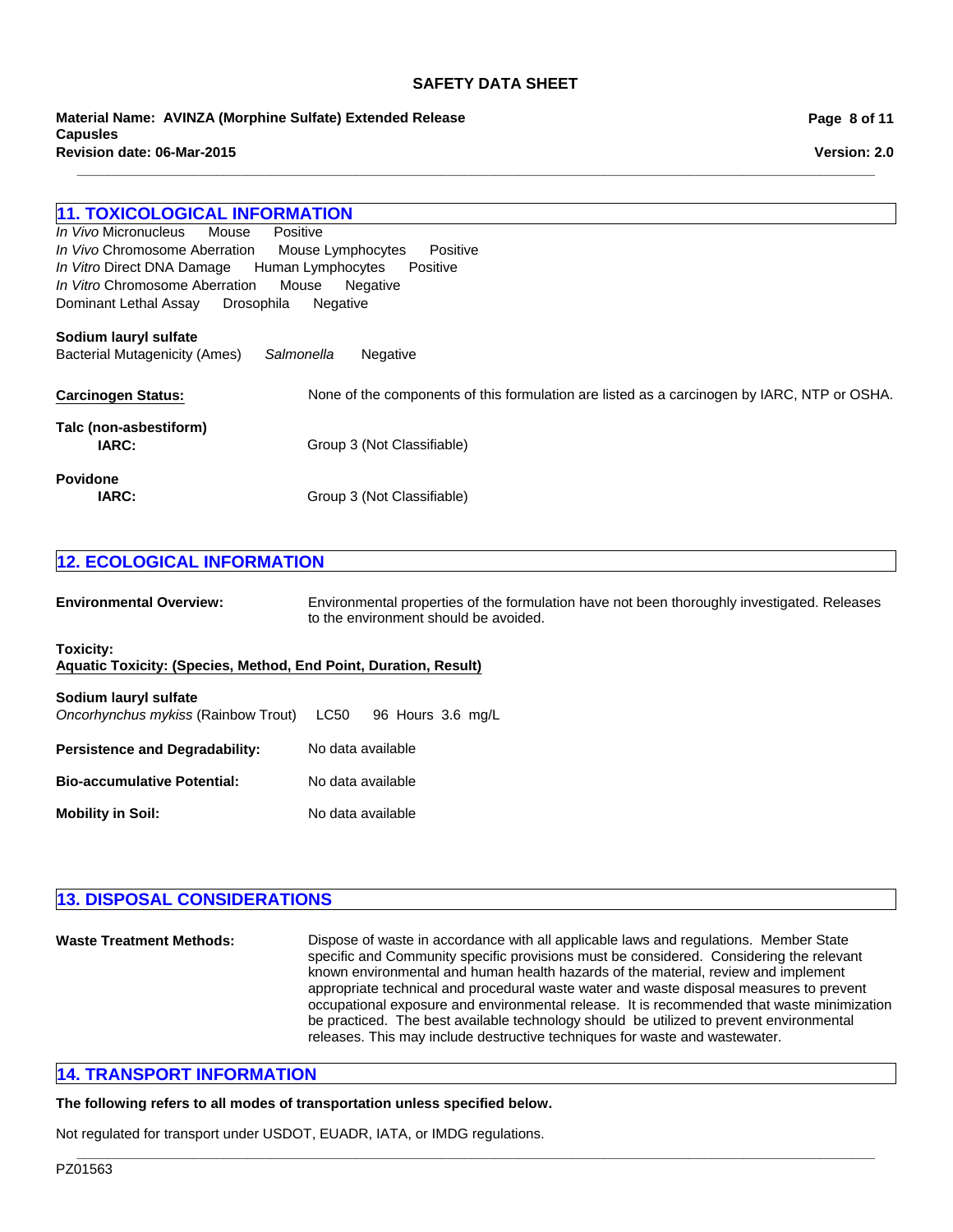**\_\_\_\_\_\_\_\_\_\_\_\_\_\_\_\_\_\_\_\_\_\_\_\_\_\_\_\_\_\_\_\_\_\_\_\_\_\_\_\_\_\_\_\_\_\_\_\_\_\_\_\_\_\_\_\_\_\_\_\_\_\_\_\_\_\_\_\_\_\_\_\_\_\_\_\_\_\_\_\_\_\_\_\_\_\_\_\_\_\_\_\_\_\_\_\_\_\_\_\_\_\_\_**

**Revision date: 06-Mar-2015 Material Name: AVINZA (Morphine Sulfate) Extended Release Capusles**

## **11. TOXICOLOGICAL INFORMATION**

Dominant Lethal AssayDrosophilaNegative *In Vivo* MicronucleusMousePositive *In Vivo* Chromosome AberrationMouse LymphocytesPositive *In Vitro* Direct DNA DamageHuman LymphocytesPositive *In Vitro* Chromosome AberrationMouseNegative

### **Sodium lauryl sulfate**

Bacterial Mutagenicity (Ames)*Salmonella* Negative

| <b>Carcinogen Status:</b>       | None of the components of this formulation are listed as a carcinogen by IARC, NTP or OSHA. |
|---------------------------------|---------------------------------------------------------------------------------------------|
| Talc (non-asbestiform)<br>IARC: | Group 3 (Not Classifiable)                                                                  |
| <b>Povidone</b><br>IARC:        | Group 3 (Not Classifiable)                                                                  |

## **12. ECOLOGICAL INFORMATION**

| <b>Environmental Overview:</b>                                                | Environmental properties of the formulation have not been thoroughly investigated. Releases<br>to the environment should be avoided. |  |
|-------------------------------------------------------------------------------|--------------------------------------------------------------------------------------------------------------------------------------|--|
| Toxicity:<br>Aquatic Toxicity: (Species, Method, End Point, Duration, Result) |                                                                                                                                      |  |
| Sodium lauryl sulfate<br>Oncorhynchus mykiss (Rainbow Trout)                  | LC50<br>96 Hours 3.6 mg/L                                                                                                            |  |
| <b>Persistence and Degradability:</b>                                         | No data available                                                                                                                    |  |
| <b>Bio-accumulative Potential:</b>                                            | No data available                                                                                                                    |  |
| <b>Mobility in Soil:</b>                                                      | No data available                                                                                                                    |  |

## **13. DISPOSAL CONSIDERATIONS Waste Treatment Methods:** Dispose of waste in accordance with all applicable laws and regulations. Member State specific and Community specific provisions must be considered. Considering the relevant known environmental and human health hazards of the material, review and implement appropriate technical and procedural waste water and waste disposal measures to prevent occupational exposure and environmental release. It is recommended that waste minimization

**\_\_\_\_\_\_\_\_\_\_\_\_\_\_\_\_\_\_\_\_\_\_\_\_\_\_\_\_\_\_\_\_\_\_\_\_\_\_\_\_\_\_\_\_\_\_\_\_\_\_\_\_\_\_\_\_\_\_\_\_\_\_\_\_\_\_\_\_\_\_\_\_\_\_\_\_\_\_\_\_\_\_\_\_\_\_\_\_\_\_\_\_\_\_\_\_\_\_\_\_\_\_\_**

be practiced. The best available technology should be utilized to prevent environmental

releases. This may include destructive techniques for waste and wastewater.

## **14. TRANSPORT INFORMATION**

**The following refers to all modes of transportation unless specified below.**

Not regulated for transport under USDOT, EUADR, IATA, or IMDG regulations.

**Page 8 of 11**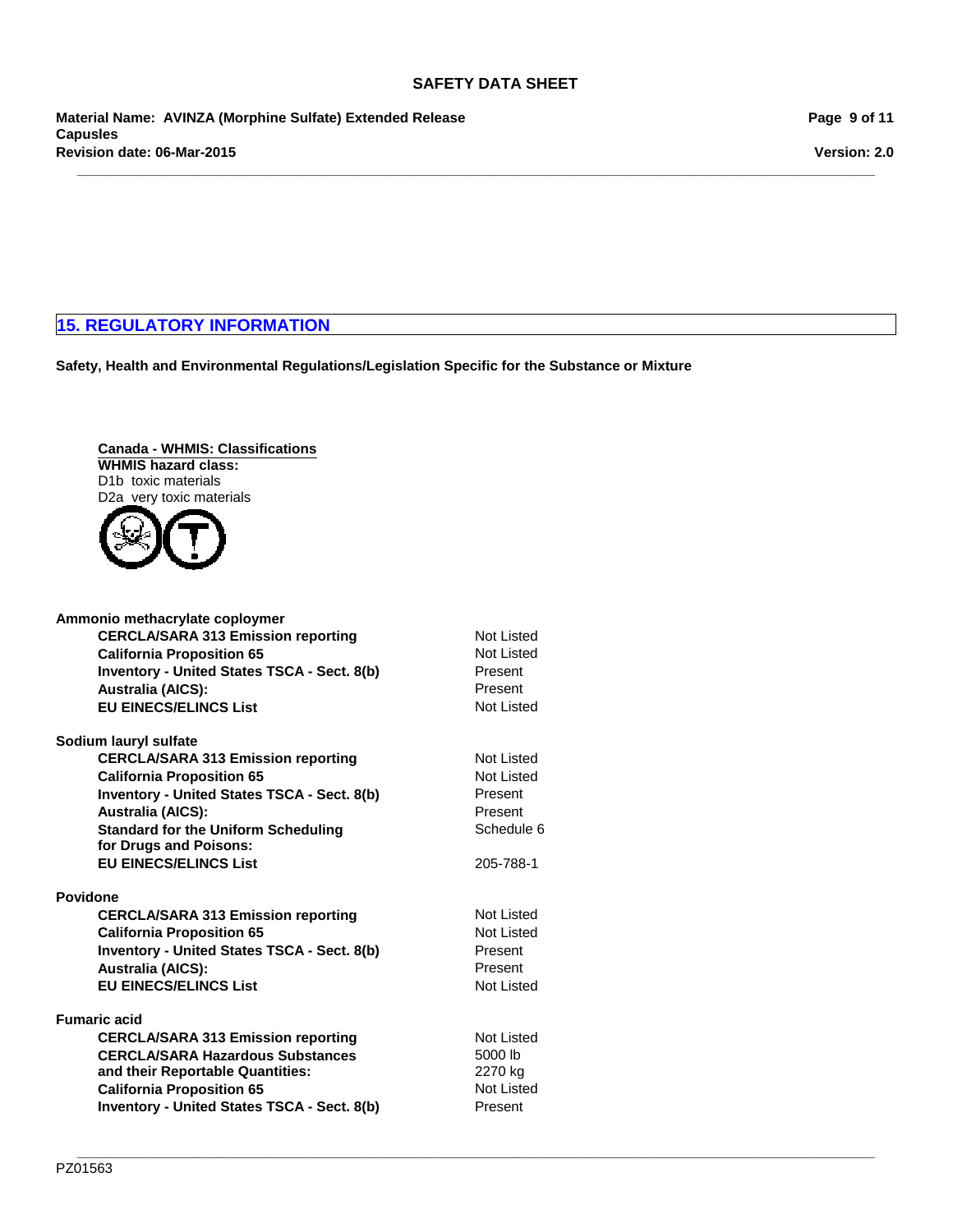**\_\_\_\_\_\_\_\_\_\_\_\_\_\_\_\_\_\_\_\_\_\_\_\_\_\_\_\_\_\_\_\_\_\_\_\_\_\_\_\_\_\_\_\_\_\_\_\_\_\_\_\_\_\_\_\_\_\_\_\_\_\_\_\_\_\_\_\_\_\_\_\_\_\_\_\_\_\_\_\_\_\_\_\_\_\_\_\_\_\_\_\_\_\_\_\_\_\_\_\_\_\_\_**

**Revision date: 06-Mar-2015 Material Name: AVINZA (Morphine Sulfate) Extended Release Capusles**

**Page 9 of 11**

**Version: 2.0**

## **15. REGULATORY INFORMATION**

**Safety, Health and Environmental Regulations/Legislation Specific for the Substance or Mixture**

**Canada - WHMIS: Classifications WHMIS hazard class:** D1b toxic materials D2a very toxic materials



| Ammonio methacrylate coploymer                     |                   |
|----------------------------------------------------|-------------------|
| <b>CERCLA/SARA 313 Emission reporting</b>          | Not Listed        |
| <b>California Proposition 65</b>                   | Not Listed        |
| <b>Inventory - United States TSCA - Sect. 8(b)</b> | Present           |
| <b>Australia (AICS):</b>                           | Present           |
| <b>EU EINECS/ELINCS List</b>                       | Not Listed        |
| Sodium lauryl sulfate                              |                   |
| <b>CERCLA/SARA 313 Emission reporting</b>          | Not Listed        |
| <b>California Proposition 65</b>                   | Not Listed        |
| <b>Inventory - United States TSCA - Sect. 8(b)</b> | Present           |
| <b>Australia (AICS):</b>                           | Present           |
| <b>Standard for the Uniform Scheduling</b>         | Schedule 6        |
| for Drugs and Poisons:                             |                   |
| <b>EU EINECS/ELINCS List</b>                       | 205-788-1         |
| <b>Povidone</b>                                    |                   |
| <b>CERCLA/SARA 313 Emission reporting</b>          | Not Listed        |
| <b>California Proposition 65</b>                   | Not Listed        |
| <b>Inventory - United States TSCA - Sect. 8(b)</b> | Present           |
| <b>Australia (AICS):</b>                           | Present           |
| <b>EU EINECS/ELINCS List</b>                       | <b>Not Listed</b> |
|                                                    |                   |
| <b>Fumaric acid</b>                                |                   |
| <b>CERCLA/SARA 313 Emission reporting</b>          | Not Listed        |
| <b>CERCLA/SARA Hazardous Substances</b>            | 5000 lb           |
| and their Reportable Quantities:                   | 2270 kg           |
| <b>California Proposition 65</b>                   | <b>Not Listed</b> |
| <b>Inventory - United States TSCA - Sect. 8(b)</b> | Present           |
|                                                    |                   |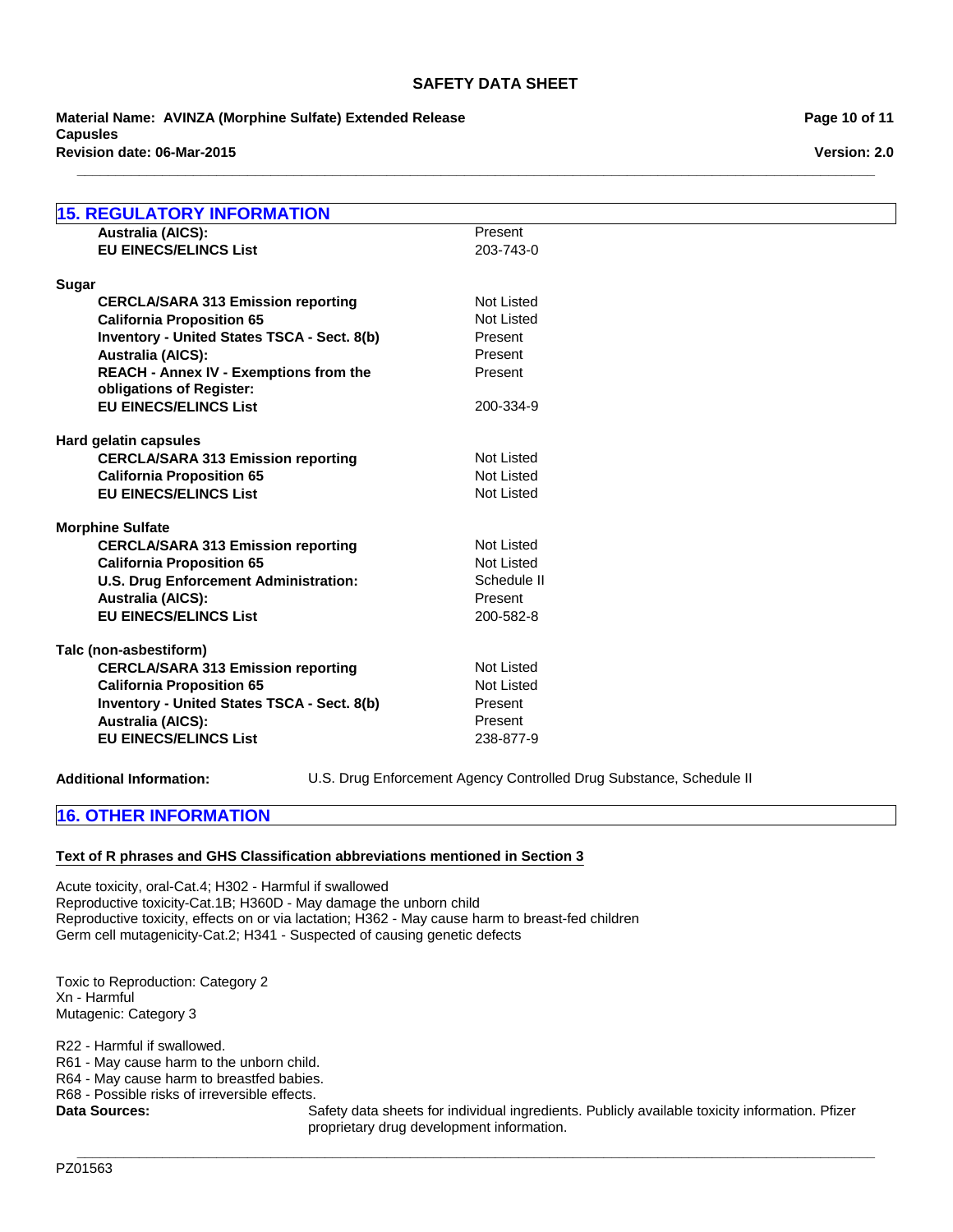**\_\_\_\_\_\_\_\_\_\_\_\_\_\_\_\_\_\_\_\_\_\_\_\_\_\_\_\_\_\_\_\_\_\_\_\_\_\_\_\_\_\_\_\_\_\_\_\_\_\_\_\_\_\_\_\_\_\_\_\_\_\_\_\_\_\_\_\_\_\_\_\_\_\_\_\_\_\_\_\_\_\_\_\_\_\_\_\_\_\_\_\_\_\_\_\_\_\_\_\_\_\_\_**

**Revision date: 06-Mar-2015 Material Name: AVINZA (Morphine Sulfate) Extended Release Capusles**

| <b>15. REGULATORY INFORMATION</b>                  |                   |
|----------------------------------------------------|-------------------|
| <b>Australia (AICS):</b>                           | Present           |
| <b>EU EINECS/ELINCS List</b>                       | 203-743-0         |
|                                                    |                   |
| <b>Sugar</b>                                       |                   |
| <b>CERCLA/SARA 313 Emission reporting</b>          | <b>Not Listed</b> |
| <b>California Proposition 65</b>                   | <b>Not Listed</b> |
| <b>Inventory - United States TSCA - Sect. 8(b)</b> | Present           |
| <b>Australia (AICS):</b>                           | Present           |
| <b>REACH - Annex IV - Exemptions from the</b>      | Present           |
| obligations of Register:                           |                   |
| <b>EU EINECS/ELINCS List</b>                       | 200-334-9         |
|                                                    |                   |
| Hard gelatin capsules                              |                   |
| <b>CERCLA/SARA 313 Emission reporting</b>          | Not Listed        |
| <b>California Proposition 65</b>                   | Not Listed        |
| <b>EU EINECS/ELINCS List</b>                       | <b>Not Listed</b> |
|                                                    |                   |
| <b>Morphine Sulfate</b>                            |                   |
| <b>CERCLA/SARA 313 Emission reporting</b>          | Not Listed        |
| <b>California Proposition 65</b>                   | <b>Not Listed</b> |
| <b>U.S. Drug Enforcement Administration:</b>       | Schedule II       |
| <b>Australia (AICS):</b>                           | Present           |
| <b>EU EINECS/ELINCS List</b>                       | 200-582-8         |
|                                                    |                   |
| Talc (non-asbestiform)                             |                   |
| <b>CERCLA/SARA 313 Emission reporting</b>          | Not Listed        |
| <b>California Proposition 65</b>                   | Not Listed        |
| Inventory - United States TSCA - Sect. 8(b)        | Present           |
| <b>Australia (AICS):</b>                           | Present           |
| <b>EU EINECS/ELINCS List</b>                       | 238-877-9         |
|                                                    |                   |

**Additional Information:** U.S. Drug Enforcement Agency Controlled Drug Substance, Schedule II

## **16. OTHER INFORMATION**

### **Text of R phrases and GHS Classification abbreviations mentioned in Section 3**

Acute toxicity, oral-Cat.4; H302 - Harmful if swallowed Reproductive toxicity-Cat.1B; H360D - May damage the unborn child Reproductive toxicity, effects on or via lactation; H362 - May cause harm to breast-fed children Germ cell mutagenicity-Cat.2; H341 - Suspected of causing genetic defects

Toxic to Reproduction: Category 2 Xn - Harmful Mutagenic: Category 3

R22 - Harmful if swallowed.

R61 - May cause harm to the unborn child.

R64 - May cause harm to breastfed babies.

R68 - Possible risks of irreversible effects.

Data Sources: Safety data sheets for individual ingredients. Publicly available toxicity information. Pfizer proprietary drug development information.

**\_\_\_\_\_\_\_\_\_\_\_\_\_\_\_\_\_\_\_\_\_\_\_\_\_\_\_\_\_\_\_\_\_\_\_\_\_\_\_\_\_\_\_\_\_\_\_\_\_\_\_\_\_\_\_\_\_\_\_\_\_\_\_\_\_\_\_\_\_\_\_\_\_\_\_\_\_\_\_\_\_\_\_\_\_\_\_\_\_\_\_\_\_\_\_\_\_\_\_\_\_\_\_**